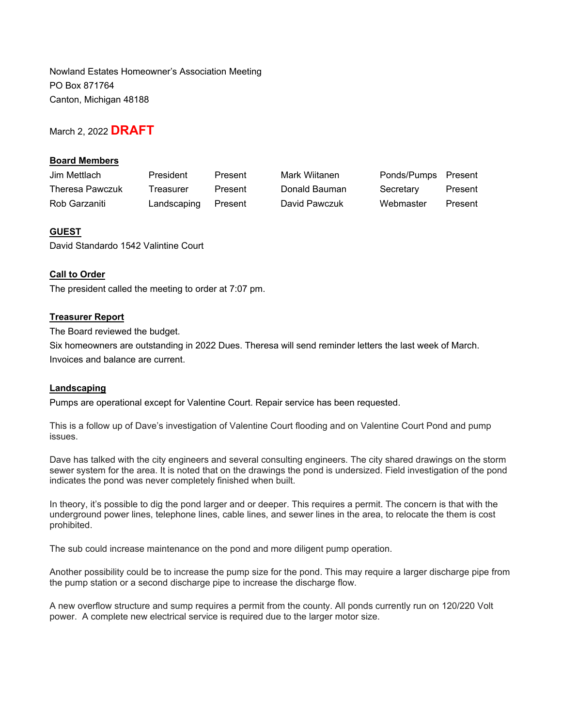Nowland Estates Homeowner's Association Meeting PO Box 871764 Canton, Michigan 48188

March 2, 2022 **DRAFT**

# **Board Members**

| Jim Mettlach           | President           | Present | Mark Wiitanen | Ponds/Pumps Present |         |
|------------------------|---------------------|---------|---------------|---------------------|---------|
| <b>Theresa Pawczuk</b> | Treasurer           | Present | Donald Bauman | Secretary           | Present |
| Rob Garzaniti          | Landscaping Present |         | David Pawczuk | Webmaster           | Present |

# **GUEST**

David Standardo 1542 Valintine Court

## **Call to Order**

The president called the meeting to order at 7:07 pm.

## **Treasurer Report**

The Board reviewed the budget.

Six homeowners are outstanding in 2022 Dues. Theresa will send reminder letters the last week of March. Invoices and balance are current.

## **Landscaping**

Pumps are operational except for Valentine Court. Repair service has been requested.

This is a follow up of Dave's investigation of Valentine Court flooding and on Valentine Court Pond and pump issues.

Dave has talked with the city engineers and several consulting engineers. The city shared drawings on the storm sewer system for the area. It is noted that on the drawings the pond is undersized. Field investigation of the pond indicates the pond was never completely finished when built.

In theory, it's possible to dig the pond larger and or deeper. This requires a permit. The concern is that with the underground power lines, telephone lines, cable lines, and sewer lines in the area, to relocate the them is cost prohibited.

The sub could increase maintenance on the pond and more diligent pump operation.

Another possibility could be to increase the pump size for the pond. This may require a larger discharge pipe from the pump station or a second discharge pipe to increase the discharge flow.

A new overflow structure and sump requires a permit from the county. All ponds currently run on 120/220 Volt power. A complete new electrical service is required due to the larger motor size.